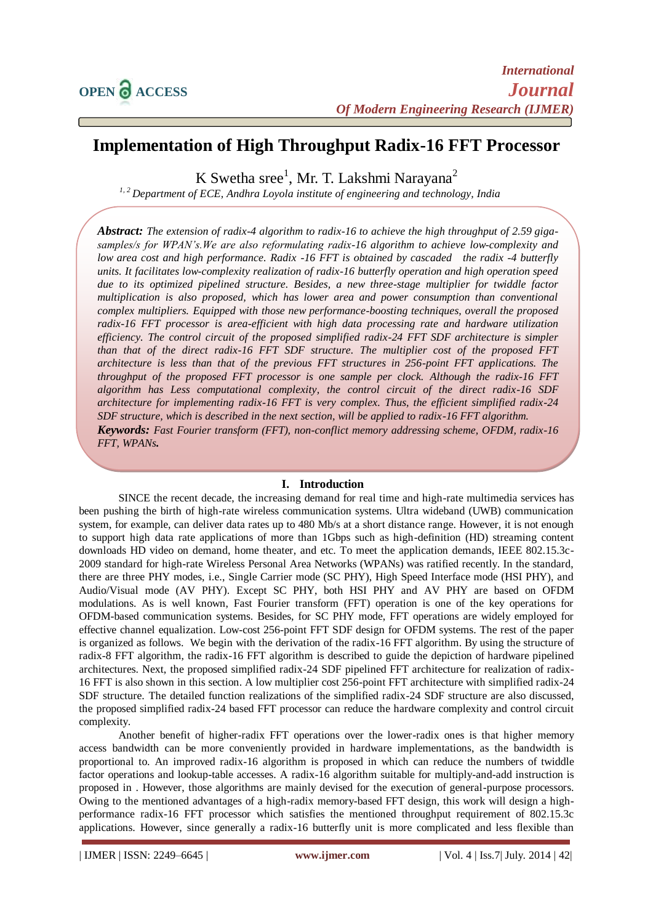# **Implementation of High Throughput Radix-16 FFT Processor**

K Swetha sree<sup>1</sup>, Mr. T. Lakshmi Narayana<sup>2</sup>

*1, 2 Department of ECE, Andhra Loyola institute of engineering and technology, India*

*Abstract: The extension of radix-4 algorithm to radix-16 to achieve the high throughput of 2.59 gigasamples/s for WPAN's.We are also reformulating radix-16 algorithm to achieve low-complexity and low area cost and high performance. Radix -16 FFT is obtained by cascaded the radix -4 butterfly units. It facilitates low-complexity realization of radix-16 butterfly operation and high operation speed due to its optimized pipelined structure. Besides, a new three-stage multiplier for twiddle factor multiplication is also proposed, which has lower area and power consumption than conventional complex multipliers. Equipped with those new performance-boosting techniques, overall the proposed radix-16 FFT processor is area-efficient with high data processing rate and hardware utilization efficiency. The control circuit of the proposed simplified radix-24 FFT SDF architecture is simpler than that of the direct radix-16 FFT SDF structure. The multiplier cost of the proposed FFT architecture is less than that of the previous FFT structures in 256-point FFT applications. The throughput of the proposed FFT processor is one sample per clock. Although the radix-16 FFT algorithm has Less computational complexity, the control circuit of the direct radix-16 SDF architecture for implementing radix-16 FFT is very complex. Thus, the efficient simplified radix-24 SDF structure, which is described in the next section, will be applied to radix-16 FFT algorithm. Keywords: Fast Fourier transform (FFT), non-conflict memory addressing scheme, OFDM, radix-16 FFT, WPANs.*

# **I. Introduction**

SINCE the recent decade, the increasing demand for real time and high-rate multimedia services has been pushing the birth of high-rate wireless communication systems. Ultra wideband (UWB) communication system, for example, can deliver data rates up to 480 Mb/s at a short distance range. However, it is not enough to support high data rate applications of more than 1Gbps such as high-definition (HD) streaming content downloads HD video on demand, home theater, and etc. To meet the application demands, IEEE 802.15.3c-2009 standard for high-rate Wireless Personal Area Networks (WPANs) was ratified recently. In the standard, there are three PHY modes, i.e., Single Carrier mode (SC PHY), High Speed Interface mode (HSI PHY), and Audio/Visual mode (AV PHY). Except SC PHY, both HSI PHY and AV PHY are based on OFDM modulations. As is well known, Fast Fourier transform (FFT) operation is one of the key operations for OFDM-based communication systems. Besides, for SC PHY mode, FFT operations are widely employed for effective channel equalization. Low-cost 256-point FFT SDF design for OFDM systems. The rest of the paper is organized as follows. We begin with the derivation of the radix-16 FFT algorithm. By using the structure of radix-8 FFT algorithm, the radix-16 FFT algorithm is described to guide the depiction of hardware pipelined architectures. Next, the proposed simplified radix-24 SDF pipelined FFT architecture for realization of radix-16 FFT is also shown in this section. A low multiplier cost 256-point FFT architecture with simplified radix-24 SDF structure. The detailed function realizations of the simplified radix-24 SDF structure are also discussed, the proposed simplified radix-24 based FFT processor can reduce the hardware complexity and control circuit complexity.

Another benefit of higher-radix FFT operations over the lower-radix ones is that higher memory access bandwidth can be more conveniently provided in hardware implementations, as the bandwidth is proportional to. An improved radix-16 algorithm is proposed in which can reduce the numbers of twiddle factor operations and lookup-table accesses. A radix-16 algorithm suitable for multiply-and-add instruction is proposed in . However, those algorithms are mainly devised for the execution of general-purpose processors. Owing to the mentioned advantages of a high-radix memory-based FFT design, this work will design a highperformance radix-16 FFT processor which satisfies the mentioned throughput requirement of 802.15.3c applications. However, since generally a radix-16 butterfly unit is more complicated and less flexible than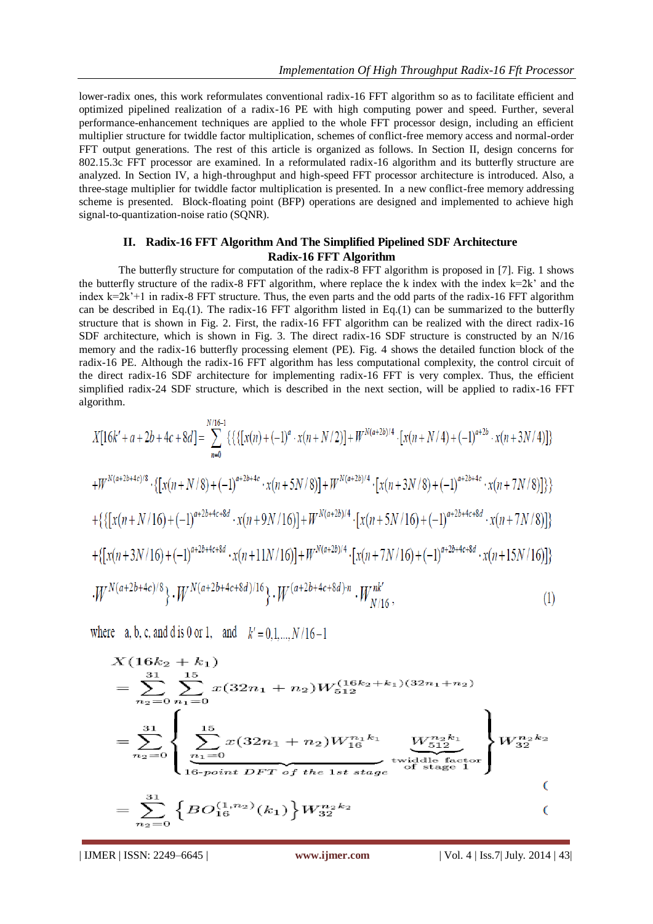lower-radix ones, this work reformulates conventional radix-16 FFT algorithm so as to facilitate efficient and optimized pipelined realization of a radix-16 PE with high computing power and speed. Further, several performance-enhancement techniques are applied to the whole FFT processor design, including an efficient multiplier structure for twiddle factor multiplication, schemes of conflict-free memory access and normal-order FFT output generations. The rest of this article is organized as follows. In Section II, design concerns for 802.15.3c FFT processor are examined. In a reformulated radix-16 algorithm and its butterfly structure are analyzed. In Section IV, a high-throughput and high-speed FFT processor architecture is introduced. Also, a three-stage multiplier for twiddle factor multiplication is presented. In a new conflict-free memory addressing scheme is presented. Block-floating point (BFP) operations are designed and implemented to achieve high signal-to-quantization-noise ratio (SQNR).

# **II. Radix-16 FFT Algorithm And The Simplified Pipelined SDF Architecture Radix-16 FFT Algorithm**

The butterfly structure for computation of the radix-8 FFT algorithm is proposed in [7]. Fig. 1 shows the butterfly structure of the radix-8 FFT algorithm, where replace the k index with the index  $k=2k'$  and the index k=2k'+1 in radix-8 FFT structure. Thus, the even parts and the odd parts of the radix-16 FFT algorithm can be described in Eq.(1). The radix-16 FFT algorithm listed in Eq.(1) can be summarized to the butterfly structure that is shown in Fig. 2. First, the radix-16 FFT algorithm can be realized with the direct radix-16 SDF architecture, which is shown in Fig. 3. The direct radix-16 SDF structure is constructed by an N/16 memory and the radix-16 butterfly processing element (PE). Fig. 4 shows the detailed function block of the radix-16 PE. Although the radix-16 FFT algorithm has less computational complexity, the control circuit of the direct radix-16 SDF architecture for implementing radix-16 FFT is very complex. Thus, the efficient simplified radix-24 SDF structure, which is described in the next section, will be applied to radix-16 FFT algorithm.

$$
X[16k'+a+2b+4c+8d] = \sum_{n=0}^{N/16-1} \{ \{ \{ [x(n)+(1)^a \cdot x(n+N/2)] + W^{N(a+2b)/4} \cdot [x(n+N/4)+(-1)^{a+2b} \cdot x(n+3N/4)] \} \} + W^{N(a+2b+4c)/8} \cdot \{ [x(n+N/8)+(-1)^{a+2b+4c} \cdot x(n+5N/8)] + W^{N(a+2b)/4} \cdot [x(n+3N/8)+(-1)^{a+2b+4c} \cdot x(n+7N/8)] \} \} + \{ \{ [x(n+N/16)+(-1)^{a+2b+4c+8d} \cdot x(n+9N/16)] + W^{N(a+2b)/4} \cdot [x(n+5N/16)+(-1)^{a+2b+4c+8d} \cdot x(n+7N/8)] \} + \{ [x(n+3N/16)+(-1)^{a+2b+4c+8d} \cdot x(n+11N/16)] + W^{N(a+2b)/4} \cdot [x(n+7N/16)+(-1)^{a+2b+4c+8d} \cdot x(n+15N/16)] \} + W^{N(a+2b+4c+8d)/8} \} \cdot W^{N(a+2b+4c+8d)/16} \} \cdot W^{(a+2b+4c+8d)/n} \cdot W^{nk'}_{N/16}, \tag{1}
$$

where a, b, c, and d is 0 or 1, and  $k' = 0, 1, ..., N/16-1$ 

$$
X(16k_2 + k_1)
$$
  
=  $\sum_{n_2=0}^{31} \sum_{n_1=0}^{15} x(32n_1 + n_2)W_{512}^{(16k_2 + k_1)(32n_1 + n_2)}$   
=  $\sum_{n_2=0}^{31} \left\{ \sum_{\substack{n_1=0 \ n_2 \equiv 0}}^{15} x(32n_1 + n_2)W_{16}^{n_1k_1} \underbrace{W_{512}^{n_2k_1}}_{16\text{-point DFT of the 1st stage}} \right\} W_{32}^{n_2k_2}$   
=  $\sum_{n_2=0}^{31} \left\{ BO_{16}^{(1,n_2)}(k_1) \right\} W_{32}^{n_2k_2}$  (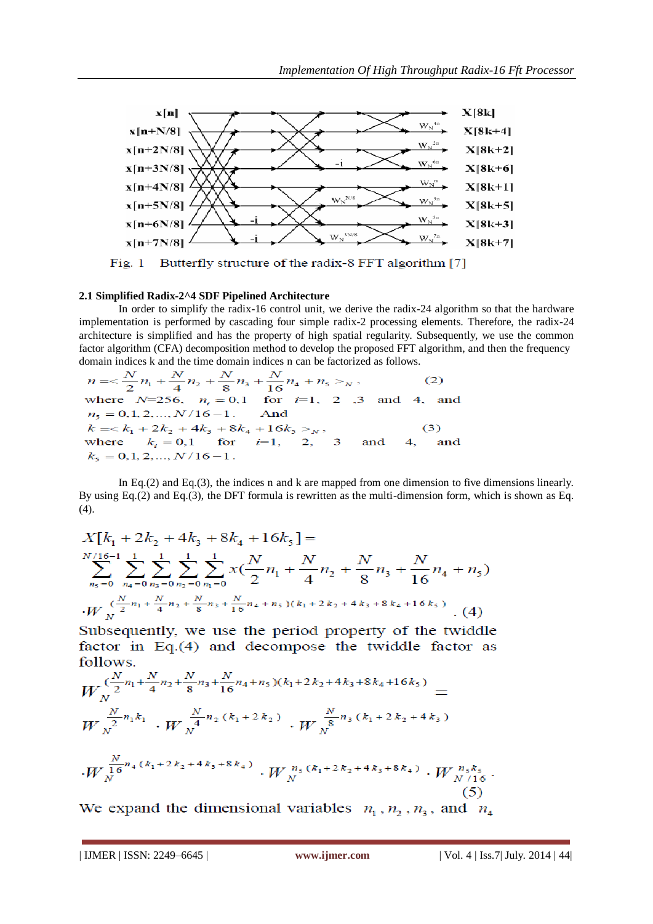

Fig. 1 Butterfly structure of the radix-8 FFT algorithm [7]

#### **2.1 Simplified Radix-2^4 SDF Pipelined Architecture**

In order to simplify the radix-16 control unit, we derive the radix-24 algorithm so that the hardware implementation is performed by cascading four simple radix-2 processing elements. Therefore, the radix-24 architecture is simplified and has the property of high spatial regularity. Subsequently, we use the common factor algorithm (CFA) decomposition method to develop the proposed FFT algorithm, and then the frequency

domain indices k and the time domain indices n can be factorized as follows.<br>  $n = \frac{N}{2}n_1 + \frac{N}{4}n_2 + \frac{N}{8}n_3 + \frac{N}{16}n_4 + n_5 >_N$ , (2)<br>
where  $N=256$ ,  $n_i = 0,1$  for  $i=1, 2, 3$  and 4, and  $n_5 = 0, 1, 2, ..., N/16-1$ . And  $k = < k_1 + 2k_2 + 4k_3 + 8k_4 + 16k_5 >_N$ ,<br>where  $k_i = 0,1$  for  $i=1, 2, 3$ <br> $k_5 = 0,1,2,...,N/16-1$ .  $(3)$ and and

In Eq.(2) and Eq.(3), the indices n and k are mapped from one dimension to five dimensions linearly. By using Eq.(2) and Eq.(3), the DFT formula is rewritten as the multi-dimension form, which is shown as Eq. (4).

$$
X[k_1 + 2k_2 + 4k_3 + 8k_4 + 16k_5] =
$$
  

$$
\sum_{n_5=0}^{N/16-1} \sum_{n_4=0}^{1} \sum_{n_3=0}^{1} \sum_{n_2=0}^{1} \sum_{n_1=0}^{1} x(\frac{N}{2}n_1 + \frac{N}{4}n_2 + \frac{N}{8}n_3 + \frac{N}{16}n_4 + n_5)
$$
  

$$
\cdot W_{N}^{(\frac{N}{2}n_1 + \frac{N}{4}n_2 + \frac{N}{8}n_3 + \frac{N}{16}n_4 + n_5)(k_1 + 2k_2 + 4k_3 + 8k_4 + 16k_5)}
$$
 (4)

Subsequently, we use the period property of the twiddle factor in Eq.(4) and decompose the twiddle factor as follows.

$$
W_{N}^{(\frac{N}{2}n_{1}+\frac{N}{4}n_{2}+\frac{N}{8}n_{3}+\frac{N}{16}n_{4}+n_{5})(k_{1}+2k_{2}+4k_{3}+8k_{4}+16k_{5})} =
$$
  
\n
$$
W_{N}^{\frac{N}{2}n_{1}k_{1}} \cdot W_{N}^{\frac{N}{4}n_{2}(k_{1}+2k_{2})} \cdot W_{N}^{\frac{N}{8}n_{3}(k_{1}+2k_{2}+4k_{3})}
$$
  
\n
$$
\cdot W_{N}^{\frac{N}{16}n_{4}(k_{1}+2k_{2}+4k_{3}+8k_{4})} \cdot W_{N}^{n_{5}(k_{1}+2k_{2}+4k_{3}+8k_{4})} \cdot W_{N}^{n_{5}k_{5}} \cdot W_{N}^{n_{5}k_{5}}
$$
\n(5)

We expand the dimensional variables  $n_1$ ,  $n_2$ ,  $n_3$ , and  $n_4$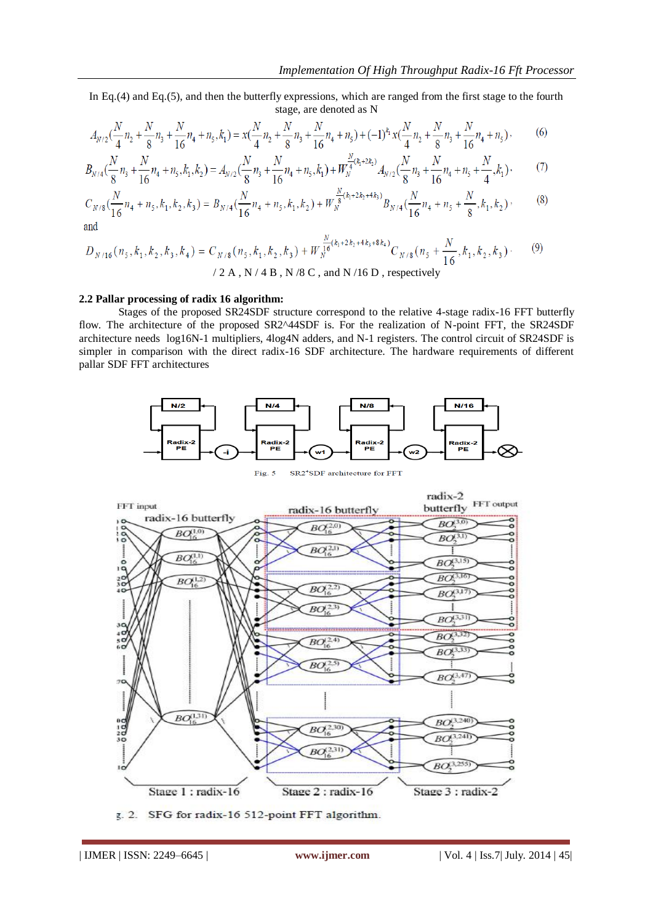In Eq.(4) and Eq.(5), and then the butterfly expressions, which are ranged from the first stage to the fourth stage, are denoted as N

$$
A_{N/2}\left(\frac{N}{4}n_2 + \frac{N}{8}n_3 + \frac{N}{16}n_4 + n_5, k_1\right) = x\left(\frac{N}{4}n_2 + \frac{N}{8}n_3 + \frac{N}{16}n_4 + n_5\right) + (-1)^{k_1}x\left(\frac{N}{4}n_2 + \frac{N}{8}n_3 + \frac{N}{16}n_4 + n_5\right),\tag{6}
$$

$$
B_{N/4}(\frac{N}{8}n_3 + \frac{N}{16}n_4 + n_5, k_1, k_2) = A_{N/2}(\frac{N}{8}n_3 + \frac{N}{16}n_4 + n_5, k_1) + W_N^{\frac{N}{4}(k_1 + 2k_2)} A_{N/2}(\frac{N}{8}n_3 + \frac{N}{16}n_4 + n_5 + \frac{N}{4}, k_1),
$$
 (7)

$$
C_{N/8}\left(\frac{N}{16}n_4 + n_5, k_1, k_2, k_3\right) = B_{N/4}\left(\frac{N}{16}n_4 + n_5, k_1, k_2\right) + W_N^{\frac{N}{8}(k_1 + 2k_2 + 4k_3)}B_{N/4}\left(\frac{N}{16}n_4 + n_5 + \frac{N}{8}, k_1, k_2\right),\tag{8}
$$
 and

$$
D_{N/16}(n_5, k_1, k_2, k_3, k_4) = C_{N/8}(n_5, k_1, k_2, k_3) + W_{N}^{\frac{N}{16}(k_1 + 2k_2 + 4k_3 + 8k_4)} C_{N/8}(n_5 + \frac{N}{16}, k_1, k_2, k_3) \tag{9}
$$

/ 2 A, N / 4 B, N / 8 C, and N / 16 D, respectively

#### **2.2 Pallar processing of radix 16 algorithm:**

Stages of the proposed SR24SDF structure correspond to the relative 4-stage radix-16 FFT butterfly flow. The architecture of the proposed SR2^44SDF is. For the realization of N-point FFT, the SR24SDF architecture needs log16N-1 multipliers, 4log4N adders, and N-1 registers. The control circuit of SR24SDF is simpler in comparison with the direct radix-16 SDF architecture. The hardware requirements of different pallar SDF FFT architectures



Fig.  $5$ SR2<sup>4</sup>SDF architecture for FFT



g. 2. SFG for radix-16 512-point FFT algorithm.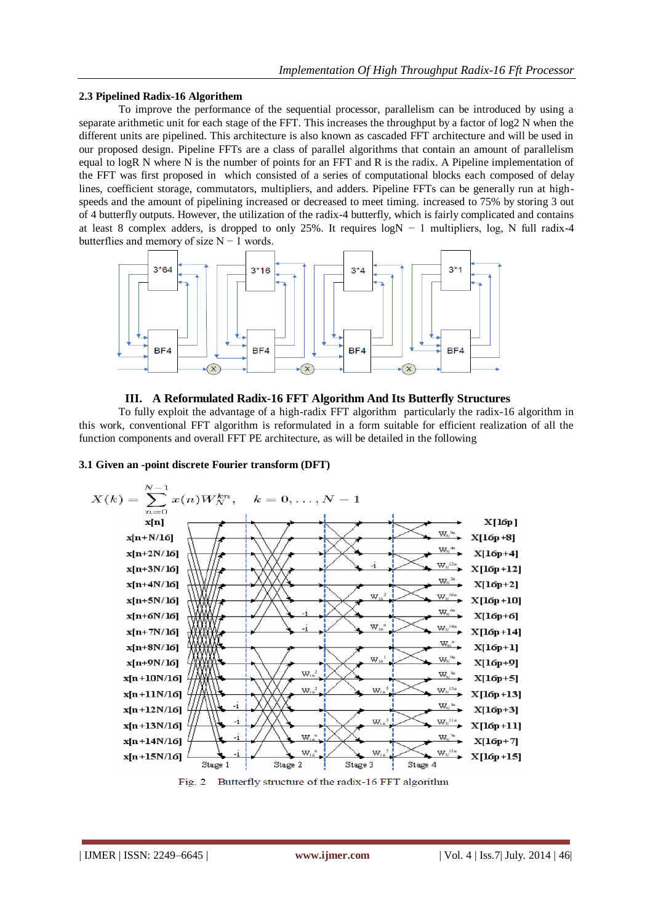# **2.3 Pipelined Radix-16 Algorithem**

To improve the performance of the sequential processor, parallelism can be introduced by using a separate arithmetic unit for each stage of the FFT. This increases the throughput by a factor of log2 N when the different units are pipelined. This architecture is also known as cascaded FFT architecture and will be used in our proposed design. Pipeline FFTs are a class of parallel algorithms that contain an amount of parallelism equal to logR N where N is the number of points for an FFT and R is the radix. A Pipeline implementation of the FFT was first proposed in which consisted of a series of computational blocks each composed of delay lines, coefficient storage, commutators, multipliers, and adders. Pipeline FFTs can be generally run at highspeeds and the amount of pipelining increased or decreased to meet timing. increased to 75% by storing 3 out of 4 butterfly outputs. However, the utilization of the radix-4 butterfly, which is fairly complicated and contains at least 8 complex adders, is dropped to only 25%. It requires logN − 1 multipliers, log, N full radix-4 butterflies and memory of size N − 1 words.



# **III. A Reformulated Radix-16 FFT Algorithm And Its Butterfly Structures**

To fully exploit the advantage of a high-radix FFT algorithm particularly the radix-16 algorithm in this work, conventional FFT algorithm is reformulated in a form suitable for efficient realization of all the function components and overall FFT PE architecture, as will be detailed in the following



#### **3.1 Given an -point discrete Fourier transform (DFT)**

Fig. 2 Butterfly structure of the radix-16 FFT algorithm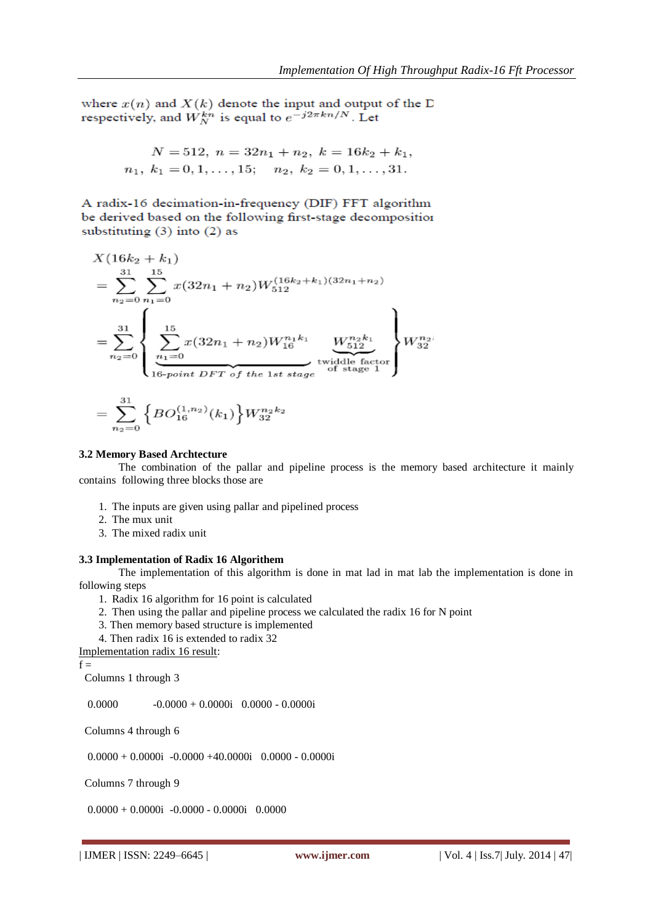where  $x(n)$  and  $X(k)$  denote the input and output of the D respectively, and  $\hat{W}_{N}^{kn}$  is equal to  $e^{-j2\pi kn/N}$ . Let

$$
N = 512, n = 32n1 + n2, k = 16k2 + k1,n1, k1 = 0, 1, ..., 15; n2, k2 = 0, 1, ..., 31.
$$

A radix-16 decimation-in-frequency (DIF) FFT algorithm be derived based on the following first-stage decomposition substituting  $(3)$  into  $(2)$  as

$$
X(16k_2 + k_1)
$$
  
= 
$$
\sum_{n_2=0}^{31} \sum_{n_1=0}^{15} x(32n_1 + n_2)W_{512}^{(16k_2 + k_1)(32n_1 + n_2)}
$$
  
= 
$$
\sum_{n_2=0}^{31} \left\{ \sum_{\substack{n_1=0 \ n_2=0}}^{15} x(32n_1 + n_2)W_{16}^{n_1k_1} \underbrace{W_{512}^{n_2k_1}}_{\text{twiddle factor}} \right\} W_{32}^{n_2l}
$$

$$
=\sum_{n_2=0}^{31}\Big\{BO_{16}^{(1,n_2)}(k_1)\Big\}W_{32}^{n_2k_2}
$$

#### **3.2 Memory Based Archtecture**

The combination of the pallar and pipeline process is the memory based architecture it mainly contains following three blocks those are

- 1. The inputs are given using pallar and pipelined process
- 2. The mux unit
- 3. The mixed radix unit

#### **3.3 Implementation of Radix 16 Algorithem**

The implementation of this algorithm is done in mat lad in mat lab the implementation is done in following steps

- 1. Radix 16 algorithm for 16 point is calculated
- 2. Then using the pallar and pipeline process we calculated the radix 16 for N point
- 3. Then memory based structure is implemented
- 4. Then radix 16 is extended to radix 32

```
Implementation radix 16 result:
```
 $f =$ 

Columns 1 through 3

 $0.0000$   $-0.0000 + 0.0000i$   $0.0000 - 0.0000i$ 

Columns 4 through 6

 $0.0000 + 0.0000i -0.0000 +40.0000i -0.0000i -0.0000i$ 

Columns 7 through 9

 $0.0000 + 0.0000i -0.0000 - 0.0000i - 0.0000$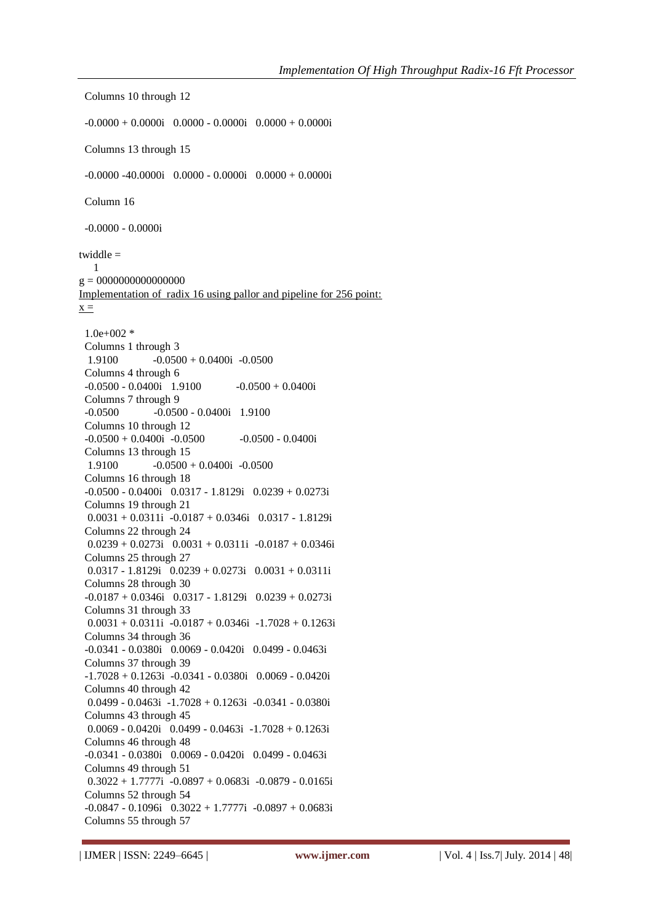Columns 10 through 12  $-0.0000 + 0.0000i$  0.0000 - 0.0000i 0.0000 + 0.0000i Columns 13 through 15  $-0.0000 - 40.0000i$   $0.0000 - 0.0000i$   $0.0000 + 0.0000i$  Column 16 -0.0000 - 0.0000i twiddle = 1 g = 0000000000000000 Implementation of radix 16 using pallor and pipeline for 256 point:  $x =$  $1.0e+002$  \* Columns 1 through 3  $1.9100$   $-0.0500 + 0.0400i$   $-0.0500$  Columns 4 through 6  $-0.0500 - 0.0400i$  1.9100  $-0.0500 + 0.0400i$  Columns 7 through 9 -0.0500 -0.0500 - 0.0400i 1.9100 Columns 10 through 12  $-0.0500 + 0.0400i -0.0500 -0.0500 -0.0400i$  Columns 13 through 15  $1.9100$   $-0.0500 + 0.0400i$   $-0.0500$  Columns 16 through 18 -0.0500 - 0.0400i 0.0317 - 1.8129i 0.0239 + 0.0273i Columns 19 through 21 0.0031 + 0.0311i -0.0187 + 0.0346i 0.0317 - 1.8129i Columns 22 through 24  $0.0239 + 0.0273i$   $0.0031 + 0.0311i$   $-0.0187 + 0.0346i$  Columns 25 through 27 0.0317 - 1.8129i  $0.0239 + 0.0273$ i  $0.0031 + 0.0311$ i Columns 28 through 30  $-0.0187 + 0.0346$ i  $0.0317 - 1.8129$ i  $0.0239 + 0.0273$ i Columns 31 through 33  $0.0031 + 0.0311i -0.0187 + 0.0346i -1.7028 + 0.1263i$  Columns 34 through 36 -0.0341 - 0.0380i 0.0069 - 0.0420i 0.0499 - 0.0463i Columns 37 through 39 -1.7028 + 0.1263i -0.0341 - 0.0380i 0.0069 - 0.0420i Columns 40 through 42 0.0499 - 0.0463i -1.7028 + 0.1263i -0.0341 - 0.0380i Columns 43 through 45  $0.0069 - 0.0420i$   $0.0499 - 0.0463i -1.7028 + 0.1263i$  Columns 46 through 48 -0.0341 - 0.0380i 0.0069 - 0.0420i 0.0499 - 0.0463i Columns 49 through 51  $0.3022 + 1.7777i -0.0897 + 0.0683i -0.0879 - 0.0165i$  Columns 52 through 54  $-0.0847 - 0.1096i$   $0.3022 + 1.7777i$   $-0.0897 + 0.0683i$ Columns 55 through 57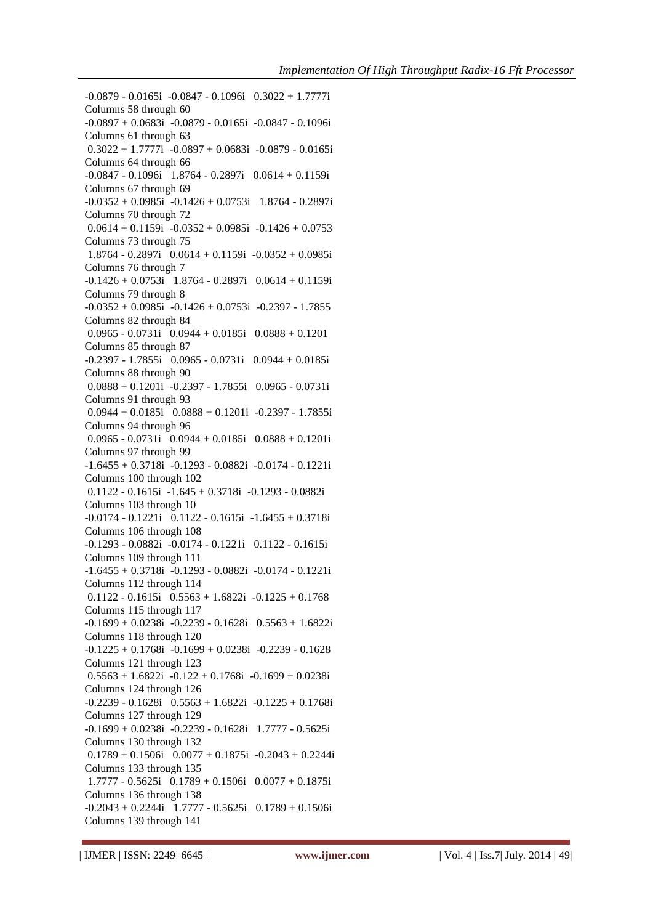-0.0879 - 0.0165i -0.0847 - 0.1096i 0.3022 + 1.7777i Columns 58 through 60 -0.0897 + 0.0683i -0.0879 - 0.0165i -0.0847 - 0.1096i Columns 61 through 63  $0.3022 + 1.7777i -0.0897 + 0.0683i -0.0879 - 0.0165i$  Columns 64 through 66 -0.0847 - 0.1096i 1.8764 - 0.2897i 0.0614 + 0.1159i Columns 67 through 69  $-0.0352 + 0.0985i -0.1426 + 0.0753i$  1.8764 - 0.2897i Columns 70 through 72  $0.0614 + 0.1159i -0.0352 + 0.0985i -0.1426 + 0.0753$  Columns 73 through 75 1.8764 - 0.2897i 0.0614 + 0.1159i -0.0352 + 0.0985i Columns 76 through 7 -0.1426 + 0.0753i 1.8764 - 0.2897i 0.0614 + 0.1159i Columns 79 through 8  $-0.0352 + 0.0985i -0.1426 + 0.0753i -0.2397 - 1.7855$  Columns 82 through 84 0.0965 - 0.0731i 0.0944 + 0.0185i 0.0888 + 0.1201 Columns 85 through 87  $-0.2397 - 1.7855i$   $0.0965 - 0.0731i$   $0.0944 + 0.0185i$  Columns 88 through 90 0.0888 + 0.1201i -0.2397 - 1.7855i 0.0965 - 0.0731i Columns 91 through 93  $0.0944 + 0.0185i$   $0.0888 + 0.1201i$   $-0.2397 - 1.7855i$  Columns 94 through 96 0.0965 - 0.0731i 0.0944 + 0.0185i 0.0888 + 0.1201i Columns 97 through 99 -1.6455 + 0.3718i -0.1293 - 0.0882i -0.0174 - 0.1221i Columns 100 through 102 0.1122 - 0.1615i -1.645 + 0.3718i -0.1293 - 0.0882i Columns 103 through 10 -0.0174 - 0.1221i 0.1122 - 0.1615i -1.6455 + 0.3718i Columns 106 through 108 -0.1293 - 0.0882i -0.0174 - 0.1221i 0.1122 - 0.1615i Columns 109 through 111 -1.6455 + 0.3718i -0.1293 - 0.0882i -0.0174 - 0.1221i Columns 112 through 114  $0.1122 - 0.1615i$   $0.5563 + 1.6822i$   $-0.1225 + 0.1768$  Columns 115 through 117 -0.1699 + 0.0238i -0.2239 - 0.1628i 0.5563 + 1.6822i Columns 118 through 120  $-0.1225 + 0.1768$ i  $-0.1699 + 0.0238$ i  $-0.2239 - 0.1628$  Columns 121 through 123  $0.5563 + 1.6822i -0.122 + 0.1768i -0.1699 + 0.0238i$  Columns 124 through 126  $-0.2239 - 0.1628i$   $0.5563 + 1.6822i$   $-0.1225 + 0.1768i$  Columns 127 through 129  $-0.1699 + 0.0238$ i  $-0.2239 - 0.1628$ i  $1.7777 - 0.5625$ i Columns 130 through 132  $0.1789 + 0.1506$ i  $0.0077 + 0.1875$ i  $-0.2043 + 0.2244$ i Columns 133 through 135 1.7777 - 0.5625i 0.1789 + 0.1506i 0.0077 + 0.1875i Columns 136 through 138  $-0.2043 + 0.2244i$  1.7777  $- 0.5625i$  0.1789  $+ 0.1506i$ Columns 139 through 141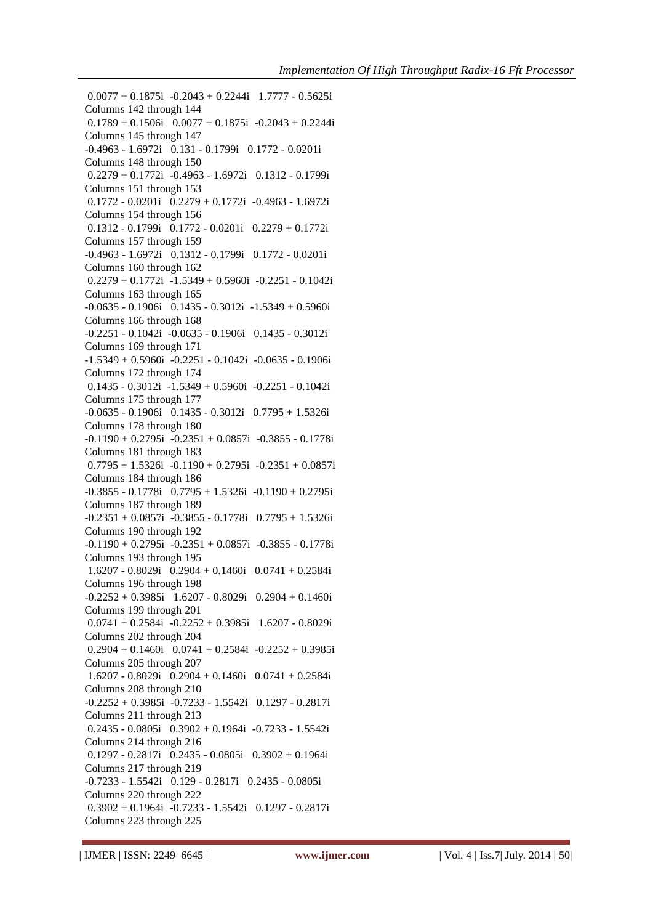$0.0077 + 0.1875$ i  $-0.2043 + 0.2244$ i  $1.7777 - 0.5625$ i Columns 142 through 144  $0.1789 + 0.1506$ i  $0.0077 + 0.1875$ i  $-0.2043 + 0.2244$ i Columns 145 through 147 -0.4963 - 1.6972i 0.131 - 0.1799i 0.1772 - 0.0201i Columns 148 through 150 0.2279 + 0.1772i -0.4963 - 1.6972i 0.1312 - 0.1799i Columns 151 through 153 0.1772 - 0.0201i 0.2279 + 0.1772i -0.4963 - 1.6972i Columns 154 through 156 0.1312 - 0.1799i 0.1772 - 0.0201i 0.2279 + 0.1772i Columns 157 through 159 -0.4963 - 1.6972i 0.1312 - 0.1799i 0.1772 - 0.0201i Columns 160 through 162 0.2279 + 0.1772i -1.5349 + 0.5960i -0.2251 - 0.1042i Columns 163 through 165 -0.0635 - 0.1906i 0.1435 - 0.3012i -1.5349 + 0.5960i Columns 166 through 168 -0.2251 - 0.1042i -0.0635 - 0.1906i 0.1435 - 0.3012i Columns 169 through 171 -1.5349 + 0.5960i -0.2251 - 0.1042i -0.0635 - 0.1906i Columns 172 through 174 0.1435 - 0.3012i -1.5349 + 0.5960i -0.2251 - 0.1042i Columns 175 through 177 -0.0635 - 0.1906i 0.1435 - 0.3012i 0.7795 + 1.5326i Columns 178 through 180  $-0.1190 + 0.2795i -0.2351 + 0.0857i -0.3855 - 0.1778i$  Columns 181 through 183  $0.7795 + 1.5326i -0.1190 + 0.2795i -0.2351 + 0.0857i$  Columns 184 through 186  $-0.3855 - 0.1778i$   $0.7795 + 1.5326i$   $-0.1190 + 0.2795i$  Columns 187 through 189  $-0.2351 + 0.0857$ i  $-0.3855 - 0.1778$ i  $0.7795 + 1.5326$ i Columns 190 through 192  $-0.1190 + 0.2795i -0.2351 + 0.0857i -0.3855 - 0.1778i$  Columns 193 through 195 1.6207 - 0.8029i 0.2904 + 0.1460i 0.0741 + 0.2584i Columns 196 through 198  $-0.2252 + 0.3985$ i  $1.6207 - 0.8029$ i  $0.2904 + 0.1460$ i Columns 199 through 201  $0.0741 + 0.2584i -0.2252 + 0.3985i -1.6207 - 0.8029i$  Columns 202 through 204  $0.2904 + 0.1460i$   $0.0741 + 0.2584i$   $-0.2252 + 0.3985i$  Columns 205 through 207 1.6207 - 0.8029i 0.2904 + 0.1460i 0.0741 + 0.2584i Columns 208 through 210 -0.2252 + 0.3985i -0.7233 - 1.5542i 0.1297 - 0.2817i Columns 211 through 213 0.2435 - 0.0805i 0.3902 + 0.1964i -0.7233 - 1.5542i Columns 214 through 216 0.1297 - 0.2817i 0.2435 - 0.0805i 0.3902 + 0.1964i Columns 217 through 219 -0.7233 - 1.5542i 0.129 - 0.2817i 0.2435 - 0.0805i Columns 220 through 222 0.3902 + 0.1964i -0.7233 - 1.5542i 0.1297 - 0.2817i Columns 223 through 225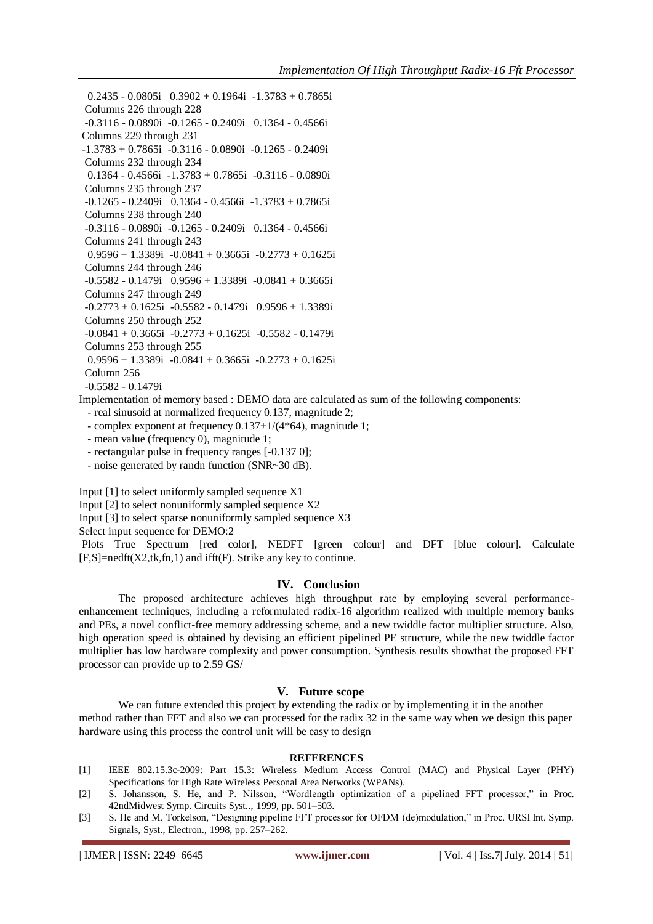0.2435 - 0.0805i 0.3902 + 0.1964i -1.3783 + 0.7865i Columns 226 through 228 -0.3116 - 0.0890i -0.1265 - 0.2409i 0.1364 - 0.4566i Columns 229 through 231 -1.3783 + 0.7865i -0.3116 - 0.0890i -0.1265 - 0.2409i Columns 232 through 234 0.1364 - 0.4566i -1.3783 + 0.7865i -0.3116 - 0.0890i Columns 235 through 237  $-0.1265 - 0.2409i$  0.1364  $- 0.4566i$   $- 1.3783 + 0.7865i$  Columns 238 through 240 -0.3116 - 0.0890i -0.1265 - 0.2409i 0.1364 - 0.4566i Columns 241 through 243  $0.9596 + 1.3389i -0.0841 + 0.3665i -0.2773 + 0.1625i$  Columns 244 through 246 -0.5582 - 0.1479i 0.9596 + 1.3389i -0.0841 + 0.3665i Columns 247 through 249  $-0.2773 + 0.1625i -0.5582 - 0.1479i -0.9596 + 1.3389i$  Columns 250 through 252  $-0.0841 + 0.3665$ i  $-0.2773 + 0.1625$ i  $-0.5582 - 0.1479$ i Columns 253 through 255  $0.9596 + 1.3389i -0.0841 + 0.3665i -0.2773 + 0.1625i$ Column 256

-0.5582 - 0.1479i

Implementation of memory based : DEMO data are calculated as sum of the following components:

- real sinusoid at normalized frequency 0.137, magnitude 2;

- complex exponent at frequency 0.137+1/(4\*64), magnitude 1;

- mean value (frequency 0), magnitude 1;

- rectangular pulse in frequency ranges [-0.137 0];

- noise generated by randn function (SNR~30 dB).

Input [1] to select uniformly sampled sequence X1

Input [2] to select nonuniformly sampled sequence X2

Input [3] to select sparse nonuniformly sampled sequence X3

Select input sequence for DEMO:2

Plots True Spectrum [red color], NEDFT [green colour] and DFT [blue colour]. Calculate  $[F,S] = \text{nedft}(X2,\text{tk},fn,1)$  and ifft $(F)$ . Strike any key to continue.

# **IV. Conclusion**

The proposed architecture achieves high throughput rate by employing several performanceenhancement techniques, including a reformulated radix-16 algorithm realized with multiple memory banks and PEs, a novel conflict-free memory addressing scheme, and a new twiddle factor multiplier structure. Also, high operation speed is obtained by devising an efficient pipelined PE structure, while the new twiddle factor multiplier has low hardware complexity and power consumption. Synthesis results showthat the proposed FFT processor can provide up to 2.59 GS/

# **V. Future scope**

We can future extended this project by extending the radix or by implementing it in the another method rather than FFT and also we can processed for the radix 32 in the same way when we design this paper hardware using this process the control unit will be easy to design

#### **REFERENCES**

- [1] IEEE 802.15.3c-2009: Part 15.3: Wireless Medium Access Control (MAC) and Physical Layer (PHY) Specifications for High Rate Wireless Personal Area Networks (WPANs).
- [2] S. Johansson, S. He, and P. Nilsson, "Wordlength optimization of a pipelined FFT processor," in Proc. 42ndMidwest Symp. Circuits Syst.., 1999, pp. 501–503.
- [3] S. He and M. Torkelson, "Designing pipeline FFT processor for OFDM (de)modulation," in Proc. URSI Int. Symp. Signals, Syst., Electron., 1998, pp. 257–262.